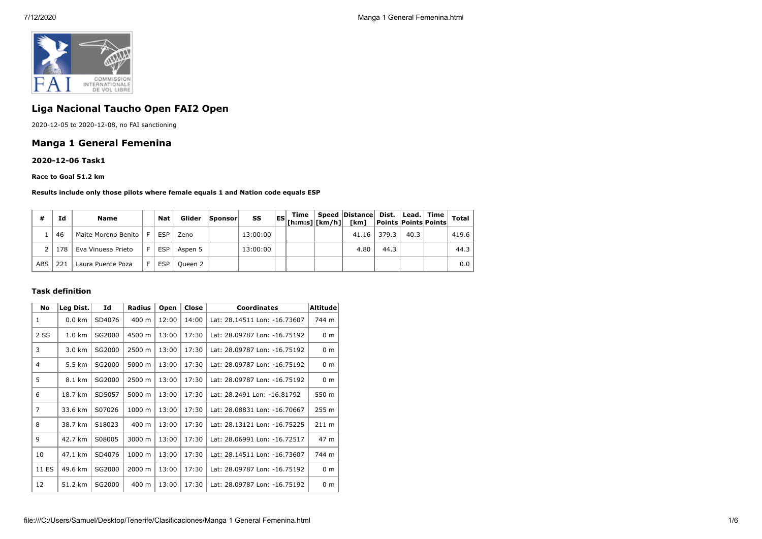

# **Liga Nacional Taucho Open FAI2 Open**

2020-12-05 to 2020-12-08, no FAI sanctioning

## **Manga 1 General Femenina**

**2020-12-06 Task1**

**Race to Goal 51.2 km**

**Results include only those pilots where female equals 1 and Nation code equals ESP**

| #          | Ιd  | Name                    |    | <b>Nat</b> | Glider  | <b>Sponsor</b> | SS       | Time | Speed   Distance   Dist.   Lead.   Time |             |      | <b>Total</b> |
|------------|-----|-------------------------|----|------------|---------|----------------|----------|------|-----------------------------------------|-------------|------|--------------|
|            | 46  | Maite Moreno Benito   F |    | <b>ESP</b> | Zeno    |                | 13:00:00 |      |                                         | 41.16 379.3 | 40.3 | 419.6        |
|            | 178 | Eva Vinuesa Prieto      | E. | <b>ESP</b> | Aspen 5 |                | 13:00:00 |      | 4.80                                    | 44.3        |      | 44.3         |
| <b>ABS</b> | 221 | Laura Puente Poza       |    | <b>ESP</b> | Oueen 2 |                |          |      |                                         |             |      | 0.0          |

#### **Task definition**

| <b>No</b>      | Leg Dist.        | Id     | <b>Radius</b> | Open  | Close | <b>Coordinates</b>           | <b>Altitude</b> |
|----------------|------------------|--------|---------------|-------|-------|------------------------------|-----------------|
| $\mathbf{1}$   | $0.0$ km         | SD4076 | 400 m         | 12:00 | 14:00 | Lat: 28.14511 Lon: -16.73607 | 744 m           |
| 2 SS           | $1.0 \text{ km}$ | SG2000 | 4500 m        | 13:00 | 17:30 | Lat: 28.09787 Lon: -16.75192 | 0 <sub>m</sub>  |
| 3              | 3.0 km           | SG2000 | 2500 m        | 13:00 | 17:30 | Lat: 28.09787 Lon: -16.75192 | 0 <sub>m</sub>  |
| 4              | 5.5 km           | SG2000 | 5000 m        | 13:00 | 17:30 | Lat: 28.09787 Lon: -16.75192 | 0 <sub>m</sub>  |
| 5              | 8.1 km           | SG2000 | 2500 m        | 13:00 | 17:30 | Lat: 28.09787 Lon: -16.75192 | 0 <sub>m</sub>  |
| 6              | 18.7 km          | SD5057 | 5000 m        | 13:00 | 17:30 | Lat: 28.2491 Lon: -16.81792  | 550 m           |
| $\overline{7}$ | 33.6 km          | S07026 | 1000 m        | 13:00 | 17:30 | Lat: 28.08831 Lon: -16.70667 | 255 m           |
| 8              | 38.7 km          | S18023 | 400 m         | 13:00 | 17:30 | Lat: 28.13121 Lon: -16.75225 | $211 \text{ m}$ |
| $\mathsf{Q}$   | 42.7 km          | S08005 | 3000 m        | 13:00 | 17:30 | Lat: 28.06991 Lon: -16.72517 | 47 m            |
| 10             | 47.1 km          | SD4076 | 1000 m        | 13:00 | 17:30 | Lat: 28.14511 Lon: -16.73607 | 744 m           |
| 11 ES          | 49.6 km          | SG2000 | 2000 m        | 13:00 | 17:30 | Lat: 28.09787 Lon: -16.75192 | 0 <sub>m</sub>  |
| 12             | 51.2 km          | SG2000 | 400 m         | 13:00 | 17:30 | Lat: 28.09787 Lon: -16.75192 | 0 <sub>m</sub>  |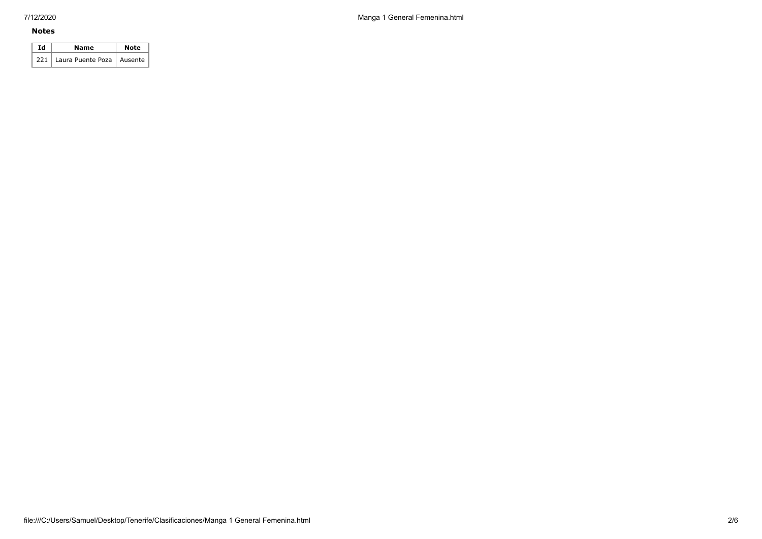7/12/2020 Manga 1 General Femenina.html

#### **Notes**

| Ιd | Name                              | <b>Note</b> |  |  |
|----|-----------------------------------|-------------|--|--|
|    | 221   Laura Puente Poza   Ausente |             |  |  |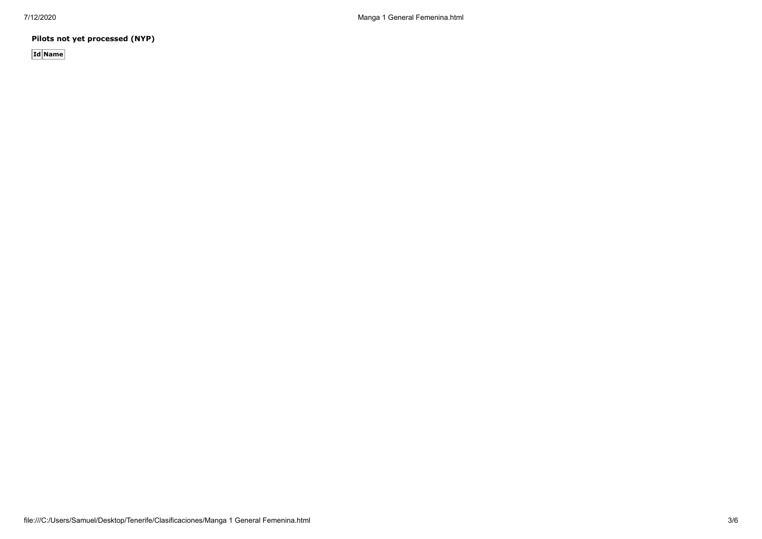**Pilots not yet processed (NYP)**

**Id Name**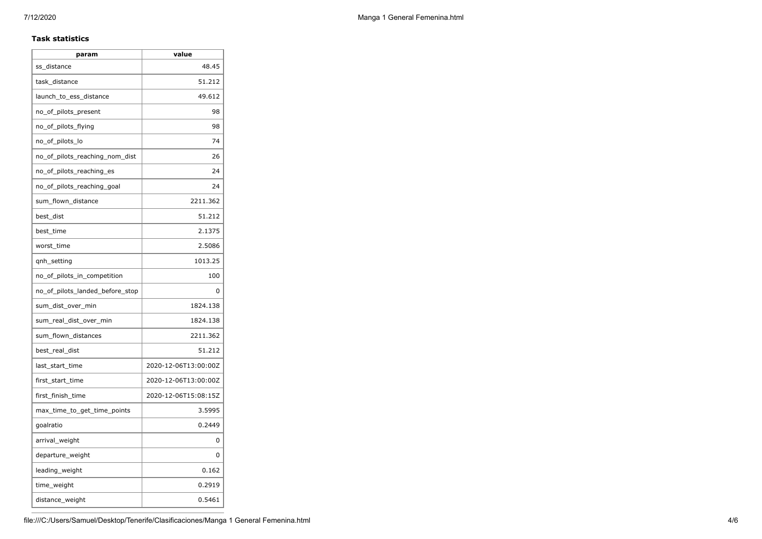#### **Task statistics**

| param                           | value                |
|---------------------------------|----------------------|
| ss distance                     | 48.45                |
| task distance                   | 51.212               |
| launch_to_ess_distance          | 49.612               |
| no_of_pilots_present            | 98                   |
| no_of_pilots_flying             | 98                   |
| no_of_pilots_lo                 | 74                   |
| no_of_pilots_reaching_nom_dist  | 26                   |
| no_of_pilots_reaching_es        | 24                   |
| no_of_pilots_reaching_goal      | 24                   |
| sum_flown_distance              | 2211.362             |
| best dist                       | 51.212               |
| best_time                       | 2.1375               |
| worst_time                      | 2.5086               |
| qnh_setting                     | 1013.25              |
| no_of_pilots_in_competition     | 100                  |
| no of pilots landed before stop | 0                    |
| sum_dist_over_min               | 1824.138             |
| sum_real_dist_over_min          | 1824.138             |
| sum_flown_distances             | 2211.362             |
| best_real_dist                  | 51.212               |
| last start time                 | 2020-12-06T13:00:00Z |
| first_start_time                | 2020-12-06T13:00:00Z |
| first_finish_time               | 2020-12-06T15:08:15Z |
| max_time_to_get_time_points     | 3.5995               |
| goalratio                       | 0.2449               |
| arrival_weight                  | 0                    |
| departure_weight                | 0                    |
| leading_weight                  | 0.162                |
| time_weight                     | 0.2919               |
| distance_weight                 | 0.5461               |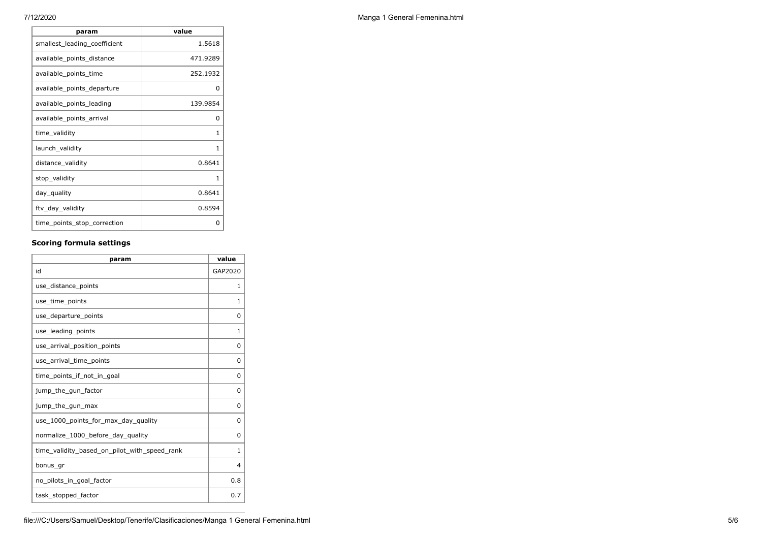| param                        | value    |
|------------------------------|----------|
| smallest_leading_coefficient | 1.5618   |
| available_points_distance    | 471.9289 |
| available_points_time        | 252.1932 |
| available_points_departure   | O        |
| available points leading     | 139.9854 |
| available_points_arrival     | 0        |
| time_validity                | 1        |
| launch_validity              | 1        |
| distance_validity            | 0.8641   |
| stop_validity                | 1        |
| day_quality                  | 0.8641   |
| ftv_day_validity             | 0.8594   |
| time_points_stop_correction  | ŋ        |

## **Scoring formula settings**

| param                                        | value    |
|----------------------------------------------|----------|
| id                                           | GAP2020  |
| use_distance_points                          | 1        |
| use_time_points                              | 1        |
| use_departure_points                         | 0        |
| use_leading_points                           | 1        |
| use_arrival_position_points                  | 0        |
| use_arrival_time_points                      | 0        |
| time points if not in goal                   | $\Omega$ |
| jump_the_gun_factor                          | 0        |
| jump_the_gun_max                             | 0        |
| use 1000 points for max day quality          | 0        |
| normalize_1000_before_day_quality            | 0        |
| time_validity_based_on_pilot_with_speed_rank | 1        |
| bonus_gr                                     | 4        |
| no_pilots_in_goal_factor                     | 0.8      |
| task_stopped_factor                          | 0.7      |